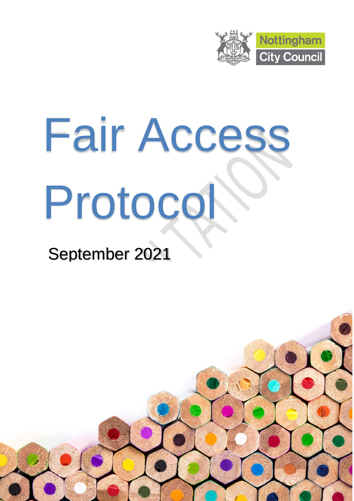

# Fair Access Protocol

# September 2021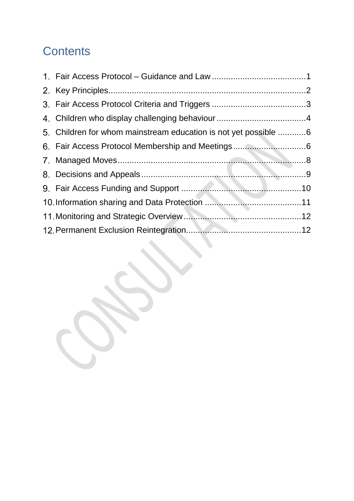# **Contents**

| 5. Children for whom mainstream education is not yet possible 6 |  |
|-----------------------------------------------------------------|--|
| 6. Fair Access Protocol Membership and Meetings6                |  |
|                                                                 |  |
|                                                                 |  |
|                                                                 |  |
|                                                                 |  |
|                                                                 |  |
|                                                                 |  |
|                                                                 |  |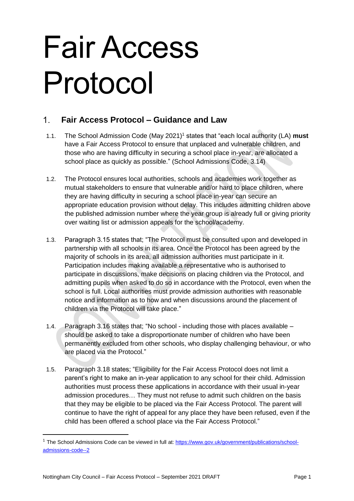# Fair Access Protocol

#### <span id="page-2-0"></span> $\mathbf 1$ **Fair Access Protocol – Guidance and Law**

- 1.1. The School Admission Code (May 2021) <sup>1</sup> states that "each local authority (LA) **must** have a Fair Access Protocol to ensure that unplaced and vulnerable children, and those who are having difficulty in securing a school place in-year, are allocated a school place as quickly as possible." (School Admissions Code, 3.14)
- 1.2. The Protocol ensures local authorities, schools and academies work together as mutual stakeholders to ensure that vulnerable and/or hard to place children, where they are having difficulty in securing a school place in-year can secure an appropriate education provision without delay. This includes admitting children above the published admission number where the year group is already full or giving priority over waiting list or admission appeals for the school/academy.
- 1.3. Paragraph 3.15 states that; "The Protocol must be consulted upon and developed in partnership with all schools in its area. Once the Protocol has been agreed by the majority of schools in its area, all admission authorities must participate in it. Participation includes making available a representative who is authorised to participate in discussions, make decisions on placing children via the Protocol, and admitting pupils when asked to do so in accordance with the Protocol, even when the school is full. Local authorities must provide admission authorities with reasonable notice and information as to how and when discussions around the placement of children via the Protocol will take place."
- 1.4. Paragraph 3.16 states that; "No school including those with places available should be asked to take a disproportionate number of children who have been permanently excluded from other schools, who display challenging behaviour, or who are placed via the Protocol."
- 1.5. Paragraph 3.18 states; "Eligibility for the Fair Access Protocol does not limit a parent's right to make an in-year application to any school for their child. Admission authorities must process these applications in accordance with their usual in-year admission procedures… They must not refuse to admit such children on the basis that they may be eligible to be placed via the Fair Access Protocol. The parent will continue to have the right of appeal for any place they have been refused, even if the child has been offered a school place via the Fair Access Protocol."

1

<sup>&</sup>lt;sup>1</sup> The School Admissions Code can be viewed in full at: [https://www.gov.uk/government/publications/school](https://www.gov.uk/government/publications/school-admissions-code--2)[admissions-code--2](https://www.gov.uk/government/publications/school-admissions-code--2)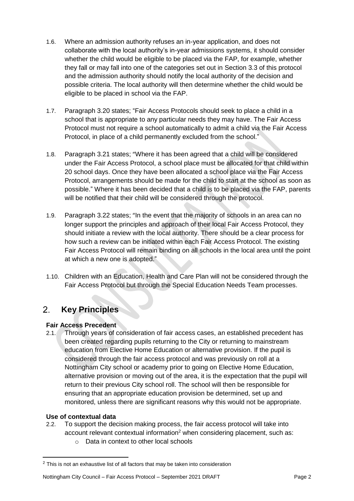- 1.6. Where an admission authority refuses an in-year application, and does not collaborate with the local authority's in-year admissions systems, it should consider whether the child would be eligible to be placed via the FAP, for example, whether they fall or may fall into one of the categories set out in Section 3.3 of this protocol and the admission authority should notify the local authority of the decision and possible criteria. The local authority will then determine whether the child would be eligible to be placed in school via the FAP.
- 1.7. Paragraph 3.20 states; "Fair Access Protocols should seek to place a child in a school that is appropriate to any particular needs they may have. The Fair Access Protocol must not require a school automatically to admit a child via the Fair Access Protocol, in place of a child permanently excluded from the school."
- 1.8. Paragraph 3.21 states; "Where it has been agreed that a child will be considered under the Fair Access Protocol, a school place must be allocated for that child within 20 school days. Once they have been allocated a school place via the Fair Access Protocol, arrangements should be made for the child to start at the school as soon as possible." Where it has been decided that a child is to be placed via the FAP, parents will be notified that their child will be considered through the protocol.
- 1.9. Paragraph 3.22 states; "In the event that the majority of schools in an area can no longer support the principles and approach of their local Fair Access Protocol, they should initiate a review with the local authority. There should be a clear process for how such a review can be initiated within each Fair Access Protocol. The existing Fair Access Protocol will remain binding on all schools in the local area until the point at which a new one is adopted."
- 1.10. Children with an Education, Health and Care Plan will not be considered through the Fair Access Protocol but through the Special Education Needs Team processes.

#### <span id="page-3-0"></span>**Key Principles**  $2<sup>1</sup>$

# **Fair Access Precedent**

2.1. Through years of consideration of fair access cases, an established precedent has been created regarding pupils returning to the City or returning to mainstream education from Elective Home Education or alternative provision. If the pupil is considered through the fair access protocol and was previously on roll at a Nottingham City school or academy prior to going on Elective Home Education, alternative provision or moving out of the area, it is the expectation that the pupil will return to their previous City school roll. The school will then be responsible for ensuring that an appropriate education provision be determined, set up and monitored, unless there are significant reasons why this would not be appropriate.

# **Use of contextual data**

- 2.2. To support the decision making process, the fair access protocol will take into account relevant contextual information<sup>2</sup> when considering placement, such as:
	- o Data in context to other local schools

<sup>&</sup>lt;sup>2</sup> This is not an exhaustive list of all factors that may be taken into consideration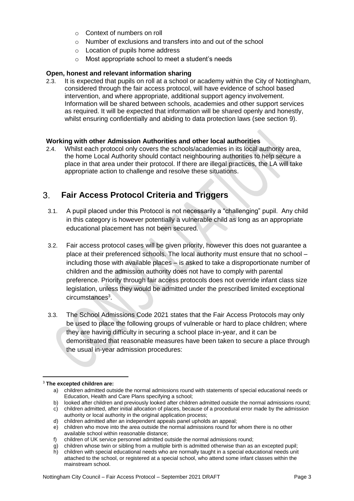- o Context of numbers on roll
- o Number of exclusions and transfers into and out of the school
- o Location of pupils home address
- o Most appropriate school to meet a student's needs

# **Open, honest and relevant information sharing**

2.3. It is expected that pupils on roll at a school or academy within the City of Nottingham, considered through the fair access protocol, will have evidence of school based intervention, and where appropriate, additional support agency involvement. Information will be shared between schools, academies and other support services as required. It will be expected that information will be shared openly and honestly, whilst ensuring confidentially and abiding to data protection laws (see section 9).

# **Working with other Admission Authorities and other local authorities**

2.4. Whilst each protocol only covers the schools/academies in its local authority area, the home Local Authority should contact neighbouring authorities to help secure a place in that area under their protocol. If there are illegal practices, the LA will take appropriate action to challenge and resolve these situations.

#### <span id="page-4-0"></span>**Fair Access Protocol Criteria and Triggers**  $3.$

- 3.1. A pupil placed under this Protocol is not necessarily a "challenging" pupil. Any child in this category is however potentially a vulnerable child as long as an appropriate educational placement has not been secured.
- 3.2. Fair access protocol cases will be given priority, however this does not guarantee a place at their preferenced schools. The local authority must ensure that no school – including those with available places – is asked to take a disproportionate number of children and the admission authority does not have to comply with parental preference. Priority through fair access protocols does not override infant class size legislation, unless they would be admitted under the prescribed limited exceptional circumstances<sup>3</sup>.
- 3.3. The School Admissions Code 2021 states that the Fair Access Protocols may only be used to place the following groups of vulnerable or hard to place children; where they are having difficulty in securing a school place in-year, and it can be demonstrated that reasonable measures have been taken to secure a place through the usual in-year admission procedures:

- b) looked after children and previously looked after children admitted outside the normal admissions round;
- c) children admitted, after initial allocation of places, because of a procedural error made by the admission authority or local authority in the original application process;
- d) children admitted after an independent appeals panel upholds an appeal;
- e) children who move into the area outside the normal admissions round for whom there is no other available school within reasonable distance;
- f) children of UK service personnel admitted outside the normal admissions round;
- g) children whose twin or sibling from a multiple birth is admitted otherwise than as an excepted pupil; h) children with special educational needs who are normally taught in a special educational needs unit

<sup>3</sup> **The excepted children are:**

a) children admitted outside the normal admissions round with statements of special educational needs or Education, Health and Care Plans specifying a school;

attached to the school, or registered at a special school, who attend some infant classes within the mainstream school.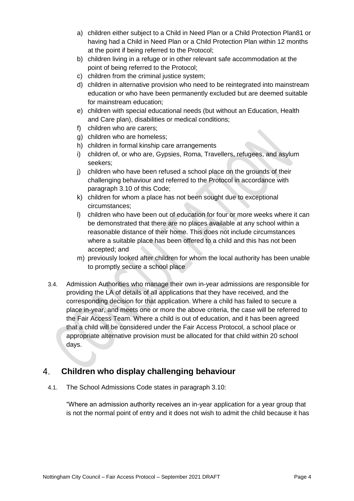- a) children either subject to a Child in Need Plan or a Child Protection Plan81 or having had a Child in Need Plan or a Child Protection Plan within 12 months at the point if being referred to the Protocol;
- b) children living in a refuge or in other relevant safe accommodation at the point of being referred to the Protocol;
- c) children from the criminal justice system;
- d) children in alternative provision who need to be reintegrated into mainstream education or who have been permanently excluded but are deemed suitable for mainstream education;
- e) children with special educational needs (but without an Education, Health and Care plan), disabilities or medical conditions;
- f) children who are carers;
- g) children who are homeless;
- h) children in formal kinship care arrangements
- i) children of, or who are, Gypsies, Roma, Travellers, refugees, and asylum seekers;
- j) children who have been refused a school place on the grounds of their challenging behaviour and referred to the Protocol in accordance with paragraph 3.10 of this Code;
- k) children for whom a place has not been sought due to exceptional circumstances;
- l) children who have been out of education for four or more weeks where it can be demonstrated that there are no places available at any school within a reasonable distance of their home. This does not include circumstances where a suitable place has been offered to a child and this has not been accepted; and
- m) previously looked after children for whom the local authority has been unable to promptly secure a school place
- 3.4. Admission Authorities who manage their own in-year admissions are responsible for providing the LA of details of all applications that they have received, and the corresponding decision for that application. Where a child has failed to secure a place in-year, and meets one or more the above criteria, the case will be referred to the Fair Access Team. Where a child is out of education, and it has been agreed that a child will be considered under the Fair Access Protocol, a school place or appropriate alternative provision must be allocated for that child within 20 school days.

#### <span id="page-5-0"></span> $\overline{4}$ **Children who display challenging behaviour**

4.1. The School Admissions Code states in paragraph 3.10:

"Where an admission authority receives an in-year application for a year group that is not the normal point of entry and it does not wish to admit the child because it has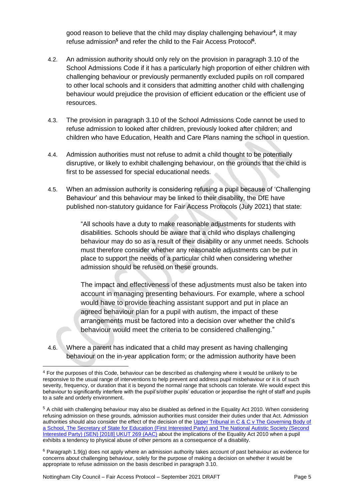good reason to believe that the child may display challenging behaviour**<sup>4</sup>** , it may refuse admission**<sup>5</sup>** and refer the child to the Fair Access Protocol**<sup>6</sup>** .

- 4.2. An admission authority should only rely on the provision in paragraph 3.10 of the School Admissions Code if it has a particularly high proportion of either children with challenging behaviour or previously permanently excluded pupils on roll compared to other local schools and it considers that admitting another child with challenging behaviour would prejudice the provision of efficient education or the efficient use of resources.
- 4.3. The provision in paragraph 3.10 of the School Admissions Code cannot be used to refuse admission to looked after children, previously looked after children; and children who have Education, Health and Care Plans naming the school in question.
- 4.4. Admission authorities must not refuse to admit a child thought to be potentially disruptive, or likely to exhibit challenging behaviour, on the grounds that the child is first to be assessed for special educational needs.
- 4.5. When an admission authority is considering refusing a pupil because of 'Challenging Behaviour' and this behaviour may be linked to their disability, the DfE have published non-statutory guidance for Fair Access Protocols (July 2021) that state:

"All schools have a duty to make reasonable adjustments for students with disabilities. Schools should be aware that a child who displays challenging behaviour may do so as a result of their disability or any unmet needs. Schools must therefore consider whether any reasonable adjustments can be put in place to support the needs of a particular child when considering whether admission should be refused on these grounds.

The impact and effectiveness of these adjustments must also be taken into account in managing presenting behaviours. For example, where a school would have to provide teaching assistant support and put in place an agreed behaviour plan for a pupil with autism, the impact of these arrangements must be factored into a decision over whether the child's behaviour would meet the criteria to be considered challenging."

4.6. Where a parent has indicated that a child may present as having challenging behaviour on the in-year application form; or the admission authority have been

<sup>4</sup> For the purposes of this Code, behaviour can be described as challenging where it would be unlikely to be responsive to the usual range of interventions to help prevent and address pupil misbehaviour or it is of such severity, frequency, or duration that it is beyond the normal range that schools can tolerate. We would expect this behaviour to significantly interfere with the pupil's/other pupils' education or jeopardise the right of staff and pupils to a safe and orderly environment.

<sup>5</sup> A child with challenging behaviour may also be disabled as defined in the Equality Act 2010. When considering refusing admission on these grounds, admission authorities must consider their duties under that Act. Admission authorities should also consider the effect of the decision of the Upper Tribunal in C & C v The Governing Body of [a School, The Secretary of State for Education \(First Interested Party\) and The National Autistic Society \(Second](https://www.gov.uk/administrative-appeals-tribunal-decisions/2018-ukut-269-aac-c-c-v-the-governing-body-of-a-school-the-secretary-of-state-for-education-first-interested-party-and-the-national-autistic-society-second-interested-party-sen)  [Interested Party\) \(SEN\) \[2018\] UKUT 269 \(AAC\)](https://www.gov.uk/administrative-appeals-tribunal-decisions/2018-ukut-269-aac-c-c-v-the-governing-body-of-a-school-the-secretary-of-state-for-education-first-interested-party-and-the-national-autistic-society-second-interested-party-sen) about the implications of the Equality Act 2010 when a pupil exhibits a tendency to physical abuse of other persons as a consequence of a disability.

 $6$  Paragraph 1.9(g) does not apply where an admission authority takes account of past behaviour as evidence for concerns about challenging behaviour, solely for the purpose of making a decision on whether it would be appropriate to refuse admission on the basis described in paragraph 3.10.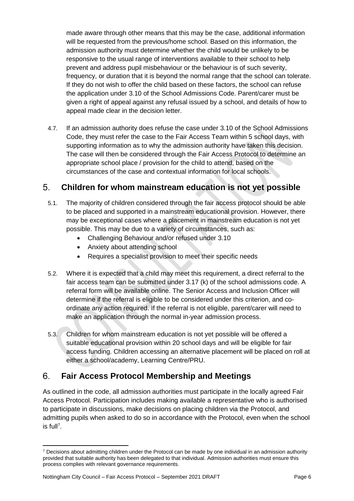made aware through other means that this may be the case, additional information will be requested from the previous/home school. Based on this information, the admission authority must determine whether the child would be unlikely to be responsive to the usual range of interventions available to their school to help prevent and address pupil misbehaviour or the behaviour is of such severity, frequency, or duration that it is beyond the normal range that the school can tolerate. If they do not wish to offer the child based on these factors, the school can refuse the application under 3.10 of the School Admissions Code. Parent/carer must be given a right of appeal against any refusal issued by a school, and details of how to appeal made clear in the decision letter.

4.7. If an admission authority does refuse the case under 3.10 of the School Admissions Code, they must refer the case to the Fair Access Team within 5 school days, with supporting information as to why the admission authority have taken this decision. The case will then be considered through the Fair Access Protocol to determine an appropriate school place / provision for the child to attend, based on the circumstances of the case and contextual information for local schools.

#### <span id="page-7-0"></span> $5<sub>1</sub>$ **Children for whom mainstream education is not yet possible**

- 5.1. The majority of children considered through the fair access protocol should be able to be placed and supported in a mainstream educational provision. However, there may be exceptional cases where a placement in mainstream education is not yet possible. This may be due to a variety of circumstances, such as:
	- Challenging Behaviour and/or refused under 3.10
	- Anxiety about attending school
	- Requires a specialist provision to meet their specific needs
- 5.2. Where it is expected that a child may meet this requirement, a direct referral to the fair access team can be submitted under 3.17 (k) of the school admissions code. A referral form will be available online. The Senior Access and Inclusion Officer will determine if the referral is eligible to be considered under this criterion, and coordinate any action required. If the referral is not eligible, parent/carer will need to make an application through the normal in-year admission process.
- 5.3. Children for whom mainstream education is not yet possible will be offered a suitable educational provision within 20 school days and will be eligible for fair access funding. Children accessing an alternative placement will be placed on roll at either a school/academy, Learning Centre/PRU.

#### <span id="page-7-1"></span> $6<sub>1</sub>$ **Fair Access Protocol Membership and Meetings**

As outlined in the code, all admission authorities must participate in the locally agreed Fair Access Protocol. Participation includes making available a representative who is authorised to participate in discussions, make decisions on placing children via the Protocol, and admitting pupils when asked to do so in accordance with the Protocol, even when the school is full<sup>7</sup>.

 $\overline{a}$  $7$  Decisions about admitting children under the Protocol can be made by one individual in an admission authority provided that suitable authority has been delegated to that individual. Admission authorities must ensure this process complies with relevant governance requirements.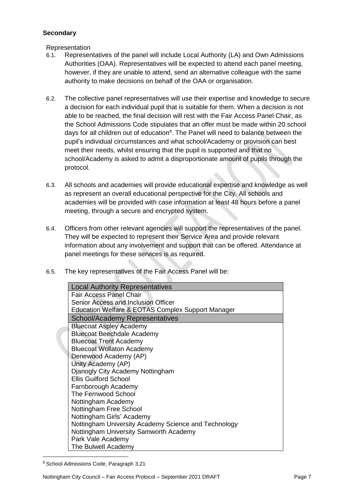# **Secondary**

Representation

- 6.1. Representatives of the panel will include Local Authority (LA) and Own Admissions Authorities (OAA). Representatives will be expected to attend each panel meeting, however, if they are unable to attend, send an alternative colleague with the same authority to make decisions on behalf of the OAA or organisation.
- 6.2. The collective panel representatives will use their expertise and knowledge to secure a decision for each individual pupil that is suitable for them. When a decision is not able to be reached, the final decision will rest with the Fair Access Panel Chair, as the School Admissions Code stipulates that an offer must be made within 20 school days for all children out of education<sup>8</sup>. The Panel will need to balance between the pupil's individual circumstances and what school/Academy or provision can best meet their needs, whilst ensuring that the pupil is supported and that no school/Academy is asked to admit a disproportionate amount of pupils through the protocol.
- 6.3. All schools and academies will provide educational expertise and knowledge as well as represent an overall educational perspective for the City. All schools and academies will be provided with case information at least 48 hours before a panel meeting, through a secure and encrypted system.
- 6.4. Officers from other relevant agencies will support the representatives of the panel. They will be expected to represent their Service Area and provide relevant information about any involvement and support that can be offered. Attendance at panel meetings for these services is as required.
- 6.5. The key representatives of the Fair Access Panel will be:

| <b>Local Authority Representatives</b>               |
|------------------------------------------------------|
| <b>Fair Access Panel Chair</b>                       |
| Senior Access and Inclusion Officer                  |
| Education Welfare & EOTAS Complex Support Manager    |
| School/Academy Representatives                       |
| <b>Bluecoat Aspley Academy</b>                       |
| <b>Bluecoat Beechdale Academy</b>                    |
| <b>Bluecoat Trent Academy</b>                        |
| <b>Bluecoat Wollaton Academy</b>                     |
| Denewood Academy (AP)                                |
| Unity Academy (AP)                                   |
| Djanogly City Academy Nottingham                     |
| <b>Ellis Guilford School</b>                         |
| Farnborough Academy                                  |
| The Fernwood School                                  |
| Nottingham Academy                                   |
| Nottingham Free School                               |
| Nottingham Girls' Academy                            |
| Nottingham University Academy Science and Technology |
| Nottingham University Samworth Academy               |
| Park Vale Academy                                    |
| The Bulwell Academy                                  |

<sup>8</sup> School Admissions Code, Paragraph 3.21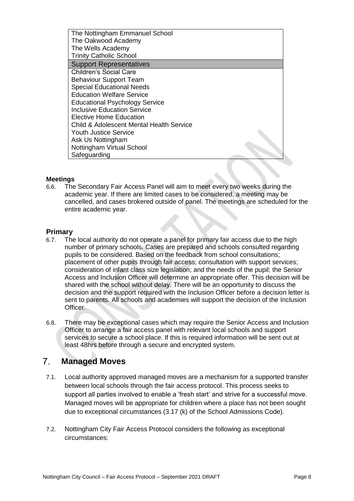The Nottingham Emmanuel School The Oakwood Academy The Wells Academy Trinity Catholic School Support Representatives Children's Social Care Behaviour Support Team Special Educational Needs Education Welfare Service Educational Psychology Service Inclusive Education Service Elective Home Education Child & Adolescent Mental Health Service Youth Justice Service Ask Us Nottingham Nottingham Virtual School Safeguarding

### **Meetings**

6.6. The Secondary Fair Access Panel will aim to meet every two weeks during the academic year. If there are limited cases to be considered, a meeting may be cancelled, and cases brokered outside of panel. The meetings are scheduled for the entire academic year.

# **Primary**

- 6.7. The local authority do not operate a panel for primary fair access due to the high number of primary schools. Cases are prepared and schools consulted regarding pupils to be considered. Based on the feedback from school consultations; placement of other pupils through fair access; consultation with support services; consideration of infant class size legislation; and the needs of the pupil; the Senior Access and Inclusion Officer will determine an appropriate offer. This decision will be shared with the school without delay. There will be an opportunity to discuss the decision and the support required with the Inclusion Officer before a decision letter is sent to parents. All schools and academies will support the decision of the Inclusion Officer.
- 6.8. There may be exceptional cases which may require the Senior Access and Inclusion Officer to arrange a fair access panel with relevant local schools and support services to secure a school place. If this is required information will be sent out at least 48hrs before through a secure and encrypted system.

#### <span id="page-9-0"></span> $7<sup>1</sup>$ **Managed Moves**

- 7.1. Local authority approved managed moves are a mechanism for a supported transfer between local schools through the fair access protocol. This process seeks to support all parties involved to enable a 'fresh start' and strive for a successful move. Managed moves will be appropriate for children where a place has not been sought due to exceptional circumstances (3.17 (k) of the School Admissions Code).
- 7.2. Nottingham City Fair Access Protocol considers the following as exceptional circumstances: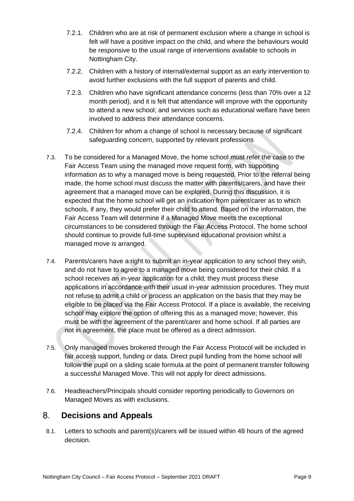- 7.2.1. Children who are at risk of permanent exclusion where a change in school is felt will have a positive impact on the child, and where the behaviours would be responsive to the usual range of interventions available to schools in Nottingham City.
- 7.2.2. Children with a history of internal/external support as an early intervention to avoid further exclusions with the full support of parents and child.
- 7.2.3. Children who have significant attendance concerns (less than 70% over a 12 month period), and it is felt that attendance will improve with the opportunity to attend a new school; and services such as educational welfare have been involved to address their attendance concerns.
- 7.2.4. Children for whom a change of school is necessary because of significant safeguarding concern, supported by relevant professions
- 7.3. To be considered for a Managed Move, the home school must refer the case to the Fair Access Team using the managed move request form, with supporting information as to why a managed move is being requested. Prior to the referral being made, the home school must discuss the matter with parents/carers, and have their agreement that a managed move can be explored. During this discussion, it is expected that the home school will get an indication from parent/carer as to which schools, if any, they would prefer their child to attend. Based on the information, the Fair Access Team will determine if a Managed Move meets the exceptional circumstances to be considered through the Fair Access Protocol. The home school should continue to provide full-time supervised educational provision whilst a managed move is arranged.
- 7.4. Parents/carers have a right to submit an in-year application to any school they wish, and do not have to agree to a managed move being considered for their child. If a school receives an in-year application for a child; they must process these applications in accordance with their usual in-year admission procedures. They must not refuse to admit a child or process an application on the basis that they may be eligible to be placed via the Fair Access Protocol. If a place is available, the receiving school may explore the option of offering this as a managed move; however, this must be with the agreement of the parent/carer and home school. If all parties are not in agreement, the place must be offered as a direct admission.
- 7.5. Only managed moves brokered through the Fair Access Protocol will be included in fair access support, funding or data. Direct pupil funding from the home school will follow the pupil on a sliding scale formula at the point of permanent transfer following a successful Managed Move. This will not apply for direct admissions.
- 7.6. Headteachers/Principals should consider reporting periodically to Governors on Managed Moves as with exclusions.

#### <span id="page-10-0"></span> $8<sup>1</sup>$ **Decisions and Appeals**

8.1. Letters to schools and parent(s)/carers will be issued within 48 hours of the agreed decision.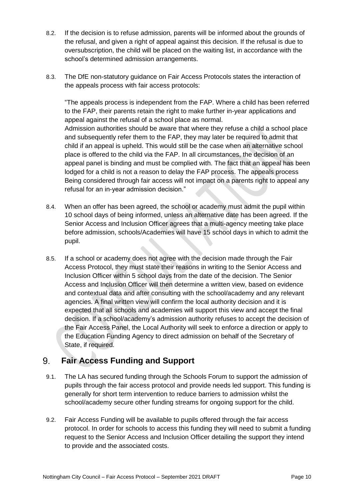- 8.2. If the decision is to refuse admission, parents will be informed about the grounds of the refusal, and given a right of appeal against this decision. If the refusal is due to oversubscription, the child will be placed on the waiting list, in accordance with the school's determined admission arrangements.
- 8.3. The DfE non-statutory guidance on Fair Access Protocols states the interaction of the appeals process with fair access protocols:

"The appeals process is independent from the FAP. Where a child has been referred to the FAP, their parents retain the right to make further in-year applications and appeal against the refusal of a school place as normal. Admission authorities should be aware that where they refuse a child a school place and subsequently refer them to the FAP, they may later be required to admit that child if an appeal is upheld. This would still be the case when an alternative school place is offered to the child via the FAP. In all circumstances, the decision of an appeal panel is binding and must be complied with. The fact that an appeal has been lodged for a child is not a reason to delay the FAP process. The appeals process Being considered through fair access will not impact on a parents right to appeal any refusal for an in-year admission decision."

- 8.4. When an offer has been agreed, the school or academy must admit the pupil within 10 school days of being informed, unless an alternative date has been agreed. If the Senior Access and Inclusion Officer agrees that a multi-agency meeting take place before admission, schools/Academies will have 15 school days in which to admit the pupil.
- 8.5. If a school or academy does not agree with the decision made through the Fair Access Protocol, they must state their reasons in writing to the Senior Access and Inclusion Officer within 5 school days from the date of the decision. The Senior Access and Inclusion Officer will then determine a written view, based on evidence and contextual data and after consulting with the school/academy and any relevant agencies. A final written view will confirm the local authority decision and it is expected that all schools and academies will support this view and accept the final decision. If a school/academy's admission authority refuses to accept the decision of the Fair Access Panel, the Local Authority will seek to enforce a direction or apply to the Education Funding Agency to direct admission on behalf of the Secretary of State, if required.

#### <span id="page-11-0"></span> $9<sub>1</sub>$ **Fair Access Funding and Support**

- 9.1. The LA has secured funding through the Schools Forum to support the admission of pupils through the fair access protocol and provide needs led support. This funding is generally for short term intervention to reduce barriers to admission whilst the school/academy secure other funding streams for ongoing support for the child.
- 9.2. Fair Access Funding will be available to pupils offered through the fair access protocol. In order for schools to access this funding they will need to submit a funding request to the Senior Access and Inclusion Officer detailing the support they intend to provide and the associated costs.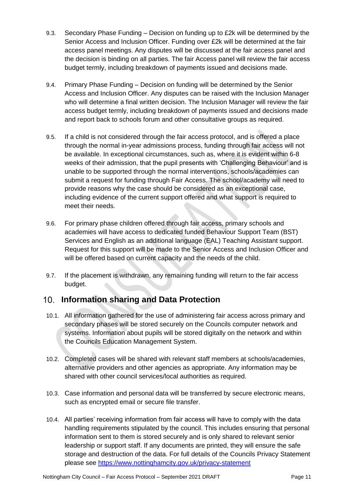- 9.3. Secondary Phase Funding Decision on funding up to £2k will be determined by the Senior Access and Inclusion Officer. Funding over £2k will be determined at the fair access panel meetings. Any disputes will be discussed at the fair access panel and the decision is binding on all parties. The fair Access panel will review the fair access budget termly, including breakdown of payments issued and decisions made.
- 9.4. Primary Phase Funding Decision on funding will be determined by the Senior Access and Inclusion Officer. Any disputes can be raised with the Inclusion Manager who will determine a final written decision. The Inclusion Manager will review the fair access budget termly, including breakdown of payments issued and decisions made and report back to schools forum and other consultative groups as required.
- 9.5. If a child is not considered through the fair access protocol, and is offered a place through the normal in-year admissions process, funding through fair access will not be available. In exceptional circumstances, such as, where it is evident within 6-8 weeks of their admission, that the pupil presents with 'Challenging Behaviour' and is unable to be supported through the normal interventions, schools/academies can submit a request for funding through Fair Access. The school/academy will need to provide reasons why the case should be considered as an exceptional case, including evidence of the current support offered and what support is required to meet their needs.
- 9.6. For primary phase children offered through fair access, primary schools and academies will have access to dedicated funded Behaviour Support Team (BST) Services and English as an additional language (EAL) Teaching Assistant support. Request for this support will be made to the Senior Access and Inclusion Officer and will be offered based on current capacity and the needs of the child.
- 9.7. If the placement is withdrawn, any remaining funding will return to the fair access budget.

# <span id="page-12-0"></span>**Information sharing and Data Protection**

- 10.1. All information gathered for the use of administering fair access across primary and secondary phases will be stored securely on the Councils computer network and systems. Information about pupils will be stored digitally on the network and within the Councils Education Management System.
- 10.2. Completed cases will be shared with relevant staff members at schools/academies, alternative providers and other agencies as appropriate. Any information may be shared with other council services/local authorities as required.
- 10.3. Case information and personal data will be transferred by secure electronic means, such as encrypted email or secure file transfer.
- 10.4. All parties' receiving information from fair access will have to comply with the data handling requirements stipulated by the council. This includes ensuring that personal information sent to them is stored securely and is only shared to relevant senior leadership or support staff. If any documents are printed, they will ensure the safe storage and destruction of the data. For full details of the Councils Privacy Statement please see <https://www.nottinghamcity.gov.uk/privacy-statement>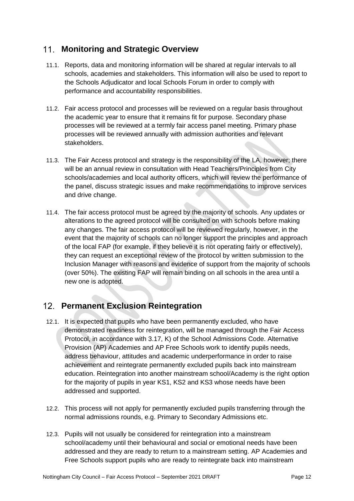# <span id="page-13-0"></span>**Monitoring and Strategic Overview**

- 11.1. Reports, data and monitoring information will be shared at regular intervals to all schools, academies and stakeholders. This information will also be used to report to the Schools Adjudicator and local Schools Forum in order to comply with performance and accountability responsibilities.
- 11.2. Fair access protocol and processes will be reviewed on a regular basis throughout the academic year to ensure that it remains fit for purpose. Secondary phase processes will be reviewed at a termly fair access panel meeting. Primary phase processes will be reviewed annually with admission authorities and relevant stakeholders.
- 11.3. The Fair Access protocol and strategy is the responsibility of the LA, however; there will be an annual review in consultation with Head Teachers/Principles from City schools/academies and local authority officers, which will review the performance of the panel, discuss strategic issues and make recommendations to improve services and drive change.
- 11.4. The fair access protocol must be agreed by the majority of schools. Any updates or alterations to the agreed protocol will be consulted on with schools before making any changes. The fair access protocol will be reviewed regularly, however, in the event that the majority of schools can no longer support the principles and approach of the local FAP (for example, if they believe it is not operating fairly or effectively), they can request an exceptional review of the protocol by written submission to the Inclusion Manager with reasons and evidence of support from the majority of schools (over 50%). The existing FAP will remain binding on all schools in the area until a new one is adopted.

# <span id="page-13-1"></span>**Permanent Exclusion Reintegration**

- 12.1. It is expected that pupils who have been permanently excluded, who have demonstrated readiness for reintegration, will be managed through the Fair Access Protocol, in accordance with 3.17, K) of the School Admissions Code. Alternative Provision (AP) Academies and AP Free Schools work to identify pupils needs, address behaviour, attitudes and academic underperformance in order to raise achievement and reintegrate permanently excluded pupils back into mainstream education. Reintegration into another mainstream school/Academy is the right option for the majority of pupils in year KS1, KS2 and KS3 whose needs have been addressed and supported.
- 12.2. This process will not apply for permanently excluded pupils transferring through the normal admissions rounds, e.g. Primary to Secondary Admissions etc.
- 12.3. Pupils will not usually be considered for reintegration into a mainstream school/academy until their behavioural and social or emotional needs have been addressed and they are ready to return to a mainstream setting. AP Academies and Free Schools support pupils who are ready to reintegrate back into mainstream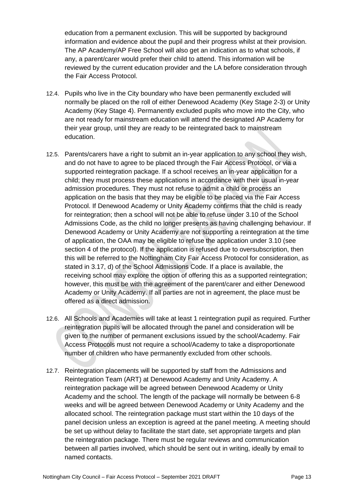education from a permanent exclusion. This will be supported by background information and evidence about the pupil and their progress whilst at their provision. The AP Academy/AP Free School will also get an indication as to what schools, if any, a parent/carer would prefer their child to attend. This information will be reviewed by the current education provider and the LA before consideration through the Fair Access Protocol.

- 12.4. Pupils who live in the City boundary who have been permanently excluded will normally be placed on the roll of either Denewood Academy (Key Stage 2-3) or Unity Academy (Key Stage 4). Permanently excluded pupils who move into the City, who are not ready for mainstream education will attend the designated AP Academy for their year group, until they are ready to be reintegrated back to mainstream education.
- 12.5. Parents/carers have a right to submit an in-year application to any school they wish, and do not have to agree to be placed through the Fair Access Protocol, or via a supported reintegration package. If a school receives an in-year application for a child; they must process these applications in accordance with their usual in-year admission procedures. They must not refuse to admit a child or process an application on the basis that they may be eligible to be placed via the Fair Access Protocol. If Denewood Academy or Unity Academy confirms that the child is ready for reintegration; then a school will not be able to refuse under 3.10 of the School Admissions Code, as the child no longer presents as having challenging behaviour. If Denewood Academy or Unity Academy are not supporting a reintegration at the time of application, the OAA may be eligible to refuse the application under 3.10 (see section 4 of the protocol). If the application is refused due to oversubscription, then this will be referred to the Nottingham City Fair Access Protocol for consideration, as stated in 3.17, d) of the School Admissions Code. If a place is available, the receiving school may explore the option of offering this as a supported reintegration; however, this must be with the agreement of the parent/carer and either Denewood Academy or Unity Academy. If all parties are not in agreement, the place must be offered as a direct admission.
- 12.6. All Schools and Academies will take at least 1 reintegration pupil as required. Further reintegration pupils will be allocated through the panel and consideration will be given to the number of permanent exclusions issued by the school/Academy. Fair Access Protocols must not require a school/Academy to take a disproportionate number of children who have permanently excluded from other schools.
- 12.7. Reintegration placements will be supported by staff from the Admissions and Reintegration Team (ART) at Denewood Academy and Unity Academy. A reintegration package will be agreed between Denewood Academy or Unity Academy and the school. The length of the package will normally be between 6-8 weeks and will be agreed between Denewood Academy or Unity Academy and the allocated school. The reintegration package must start within the 10 days of the panel decision unless an exception is agreed at the panel meeting. A meeting should be set up without delay to facilitate the start date, set appropriate targets and plan the reintegration package. There must be regular reviews and communication between all parties involved, which should be sent out in writing, ideally by email to named contacts.